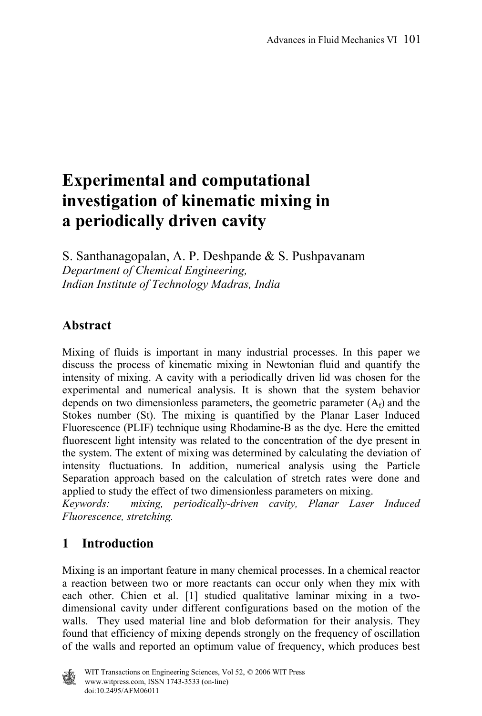# **a periodically driven cavity investigation of kinematic mixing in Experimental and computational**

*Department of Chemical Engineering, Indian Institute of Technology Madras, India* S. Santhanagopalan, A. P. Deshpande & S. Pushpavanam

# **Abstract**

Mixing of fluids is important in many industrial processes. In this paper we discuss the process of kinematic mixing in Newtonian fluid and quantify the intensity of mixing. A cavity with a periodically driven lid was chosen for the experimental and numerical analysis. It is shown that the system behavior depends on two dimensionless parameters, the geometric parameter  $(A_f)$  and the Stokes number (St). The mixing is quantified by the Planar Laser Induced Fluorescence (PLIF) technique using Rhodamine-B as the dye. Here the emitted fluorescent light intensity was related to the concentration of the dye present in the system. The extent of mixing was determined by calculating the deviation of intensity fluctuations. In addition, numerical analysis using the Particle Separation approach based on the calculation of stretch rates were done and applied to study the effect of two dimensionless parameters on mixing.

*Keywords: mixing, periodically-driven cavity, Planar Laser Induced Fluorescence, stretching.* 

# **1 Introduction**

Mixing is an important feature in many chemical processes. In a chemical reactor a reaction between two or more reactants can occur only when they mix with each other. Chien et al. [1] studied qualitative laminar mixing in a twodimensional cavity under different configurations based on the motion of the walls. They used material line and blob deformation for their analysis. They found that efficiency of mixing depends strongly on the frequency of oscillation of the walls and reported an optimum value of frequency, which produces best

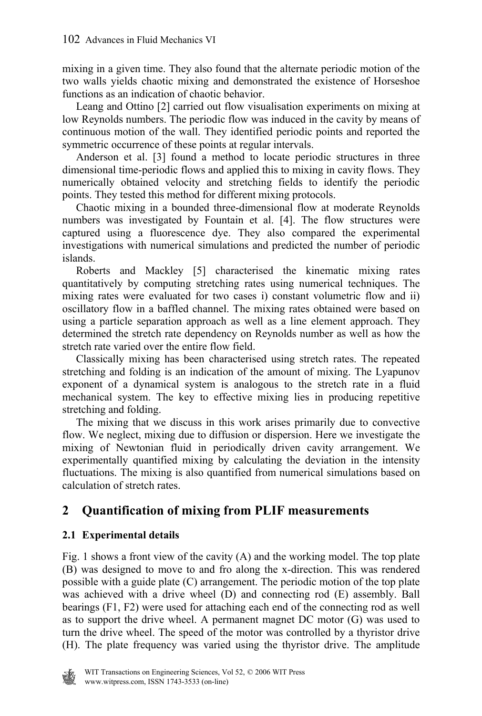mixing in a given time. They also found that the alternate periodic motion of the two walls yields chaotic mixing and demonstrated the existence of Horseshoe functions as an indication of chaotic behavior.

 Leang and Ottino [2] carried out flow visualisation experiments on mixing at low Reynolds numbers. The periodic flow was induced in the cavity by means of continuous motion of the wall. They identified periodic points and reported the symmetric occurrence of these points at regular intervals.

 Anderson et al. [3] found a method to locate periodic structures in three dimensional time-periodic flows and applied this to mixing in cavity flows. They numerically obtained velocity and stretching fields to identify the periodic points. They tested this method for different mixing protocols.

 Chaotic mixing in a bounded three-dimensional flow at moderate Reynolds numbers was investigated by Fountain et al. [4]. The flow structures were captured using a fluorescence dye. They also compared the experimental investigations with numerical simulations and predicted the number of periodic islands.

 Roberts and Mackley [5] characterised the kinematic mixing rates quantitatively by computing stretching rates using numerical techniques. The mixing rates were evaluated for two cases i) constant volumetric flow and ii) oscillatory flow in a baffled channel. The mixing rates obtained were based on using a particle separation approach as well as a line element approach. They determined the stretch rate dependency on Reynolds number as well as how the stretch rate varied over the entire flow field.

 Classically mixing has been characterised using stretch rates. The repeated stretching and folding is an indication of the amount of mixing. The Lyapunov exponent of a dynamical system is analogous to the stretch rate in a fluid mechanical system. The key to effective mixing lies in producing repetitive stretching and folding.

 The mixing that we discuss in this work arises primarily due to convective flow. We neglect, mixing due to diffusion or dispersion. Here we investigate the mixing of Newtonian fluid in periodically driven cavity arrangement. We experimentally quantified mixing by calculating the deviation in the intensity fluctuations. The mixing is also quantified from numerical simulations based on calculation of stretch rates.

# **2 Quantification of mixing from PLIF measurements**

### **2.1 Experimental details**

Fig. 1 shows a front view of the cavity (A) and the working model. The top plate (B) was designed to move to and fro along the x-direction. This was rendered possible with a guide plate (C) arrangement. The periodic motion of the top plate was achieved with a drive wheel (D) and connecting rod (E) assembly. Ball bearings (F1, F2) were used for attaching each end of the connecting rod as well as to support the drive wheel. A permanent magnet DC motor (G) was used to turn the drive wheel. The speed of the motor was controlled by a thyristor drive (H). The plate frequency was varied using the thyristor drive. The amplitude

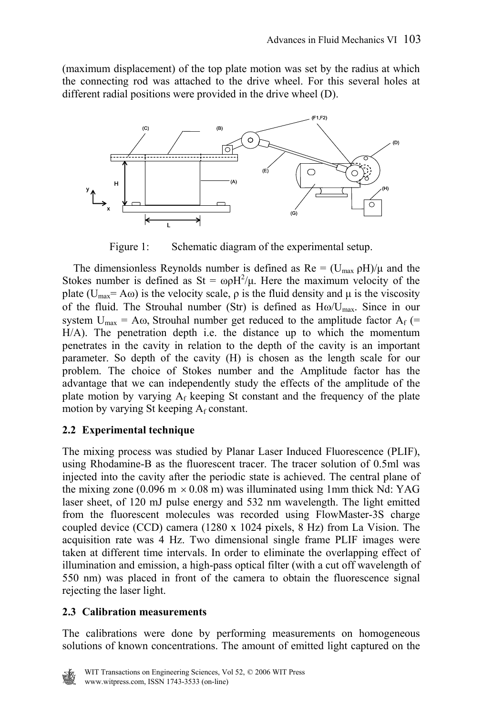(maximum displacement) of the top plate motion was set by the radius at which the connecting rod was attached to the drive wheel. For this several holes at different radial positions were provided in the drive wheel (D).



Figure 1: Schematic diagram of the experimental setup.

The dimensionless Reynolds number is defined as  $\text{Re} = (U_{\text{max}} \rho H)/\mu$  and the Stokes number is defined as  $St = \omega \rho H^2/\mu$ . Here the maximum velocity of the plate ( $U_{\text{max}}$ = Aω) is the velocity scale,  $\rho$  is the fluid density and  $\mu$  is the viscosity of the fluid. The Strouhal number (Str) is defined as  $H\omega/U_{\text{max}}$ . Since in our system  $U_{\text{max}} = A\omega$ , Strouhal number get reduced to the amplitude factor  $A_f$  (= H/A). The penetration depth i.e. the distance up to which the momentum penetrates in the cavity in relation to the depth of the cavity is an important parameter. So depth of the cavity (H) is chosen as the length scale for our problem. The choice of Stokes number and the Amplitude factor has the advantage that we can independently study the effects of the amplitude of the plate motion by varying  $A_f$  keeping St constant and the frequency of the plate motion by varying St keeping  $A_f$  constant.

#### **2.2 Experimental technique**

The mixing process was studied by Planar Laser Induced Fluorescence (PLIF), using Rhodamine-B as the fluorescent tracer. The tracer solution of 0.5ml was injected into the cavity after the periodic state is achieved. The central plane of the mixing zone (0.096 m  $\times$  0.08 m) was illuminated using 1mm thick Nd: YAG laser sheet, of 120 mJ pulse energy and 532 nm wavelength. The light emitted from the fluorescent molecules was recorded using FlowMaster-3S charge coupled device (CCD) camera (1280 x 1024 pixels, 8 Hz) from La Vision. The acquisition rate was 4 Hz. Two dimensional single frame PLIF images were taken at different time intervals. In order to eliminate the overlapping effect of illumination and emission, a high-pass optical filter (with a cut off wavelength of 550 nm) was placed in front of the camera to obtain the fluorescence signal rejecting the laser light.

#### **2.3 Calibration measurements**

The calibrations were done by performing measurements on homogeneous solutions of known concentrations. The amount of emitted light captured on the

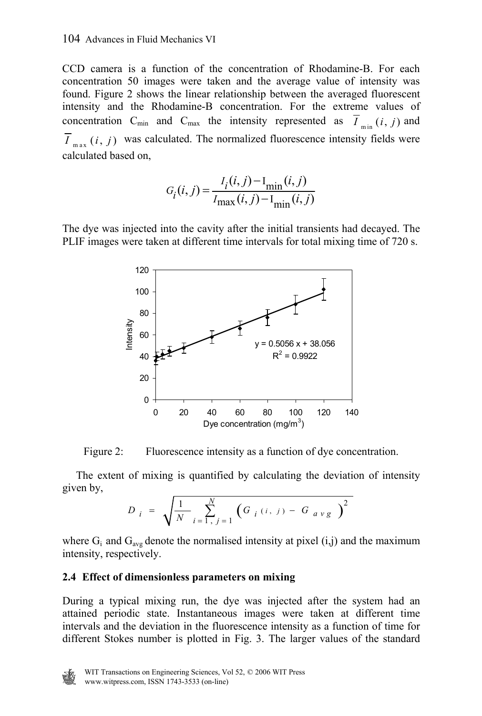CCD camera is a function of the concentration of Rhodamine-B. For each concentration 50 images were taken and the average value of intensity was found. Figure 2 shows the linear relationship between the averaged fluorescent intensity and the Rhodamine-B concentration. For the extreme values of concentration C<sub>min</sub> and C<sub>max</sub> the intensity represented as  $\overline{I}_{min}(i, j)$  and  $\overline{I}_{max}(i, j)$  was calculated. The normalized fluorescence intensity fields were calculated based on,

$$
G_i(i, j) = \frac{I_i(i, j) - I_{\min}(i, j)}{I_{\max}(i, j) - I_{\min}(i, j)}
$$

The dye was injected into the cavity after the initial transients had decayed. The PLIF images were taken at different time intervals for total mixing time of 720 s.



Figure 2: Fluorescence intensity as a function of dye concentration.

 The extent of mixing is quantified by calculating the deviation of intensity given by,

$$
D_{i} = \sqrt{\frac{1}{N} \sum_{i=1, j=1}^{N} (G_{i}(i, j) - G_{avg})^{2}}
$$

where  $G_i$  and  $G_{avg}$  denote the normalised intensity at pixel  $(i,j)$  and the maximum intensity, respectively.

### **2.4 Effect of dimensionless parameters on mixing**

During a typical mixing run, the dye was injected after the system had an attained periodic state. Instantaneous images were taken at different time intervals and the deviation in the fluorescence intensity as a function of time for different Stokes number is plotted in Fig. 3. The larger values of the standard

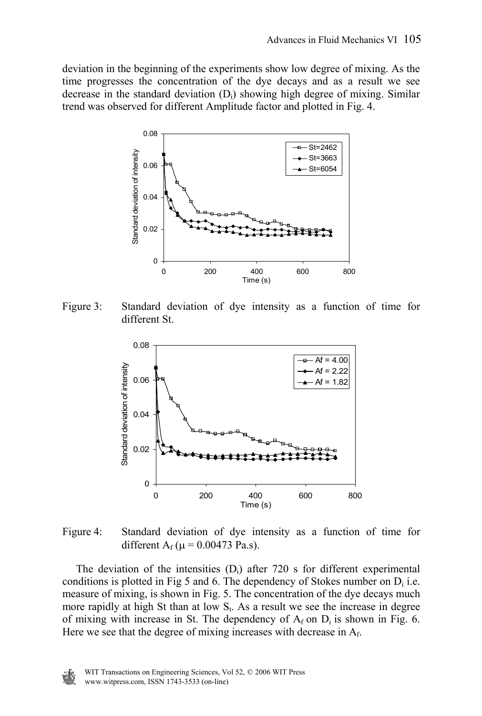deviation in the beginning of the experiments show low degree of mixing. As the time progresses the concentration of the dye decays and as a result we see decrease in the standard deviation  $(D_i)$  showing high degree of mixing. Similar trend was observed for different Amplitude factor and plotted in Fig. 4.



Figure 3: Standard deviation of dye intensity as a function of time for different St.



Figure 4: Standard deviation of dye intensity as a function of time for different  $A_f$  ( $\mu$  = 0.00473 Pa.s).

The deviation of the intensities (D<sub>i</sub>) after 720 s for different experimental conditions is plotted in Fig 5 and 6. The dependency of Stokes number on  $D_i$  i.e. measure of mixing, is shown in Fig. 5. The concentration of the dye decays much more rapidly at high St than at low  $S_t$ . As a result we see the increase in degree of mixing with increase in St. The dependency of  $A_f$  on  $D_i$  is shown in Fig. 6. Here we see that the degree of mixing increases with decrease in  $A_f$ .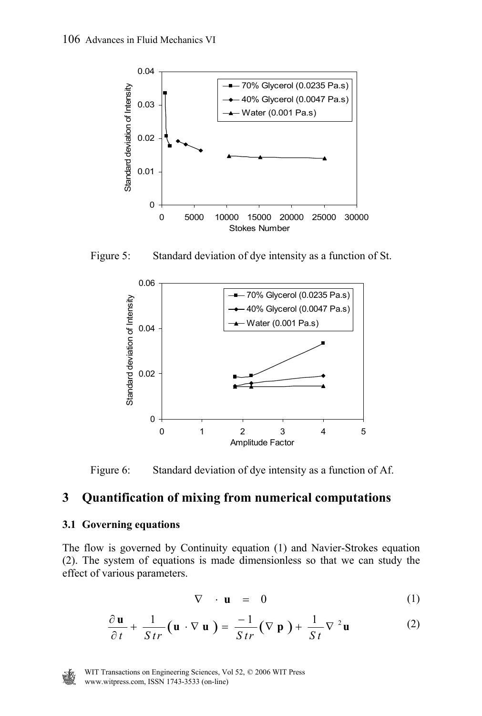

Figure 5: Standard deviation of dye intensity as a function of St.



Figure 6: Standard deviation of dye intensity as a function of Af.

### **3 Quantification of mixing from numerical computations**

#### **3.1 Governing equations**

The flow is governed by Continuity equation (1) and Navier-Strokes equation (2). The system of equations is made dimensionless so that we can study the effect of various parameters.

$$
\nabla \cdot \mathbf{u} = 0 \tag{1}
$$

$$
\frac{\partial \mathbf{u}}{\partial t} + \frac{1}{Str} \left( \mathbf{u} \cdot \nabla \mathbf{u} \right) = \frac{-1}{Str} \left( \nabla \mathbf{p} \right) + \frac{1}{St} \nabla^2 \mathbf{u}
$$
 (2)

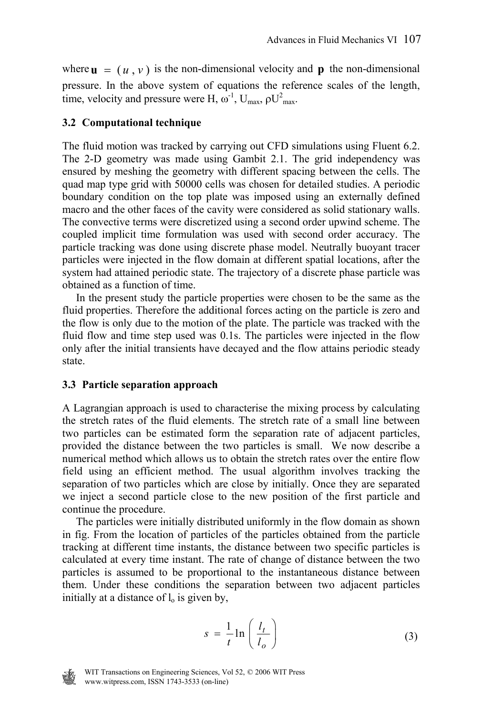where  $\mathbf{u} = (u, v)$  is the non-dimensional velocity and **p** the non-dimensional pressure. In the above system of equations the reference scales of the length, time, velocity and pressure were H,  $\omega^{-1}$ , U<sub>max</sub>,  $\rho U_{\text{max}}^2$ .

### **3.2 Computational technique**

The fluid motion was tracked by carrying out CFD simulations using Fluent 6.2. The 2-D geometry was made using Gambit 2.1. The grid independency was ensured by meshing the geometry with different spacing between the cells. The quad map type grid with 50000 cells was chosen for detailed studies. A periodic boundary condition on the top plate was imposed using an externally defined macro and the other faces of the cavity were considered as solid stationary walls. The convective terms were discretized using a second order upwind scheme. The coupled implicit time formulation was used with second order accuracy. The particle tracking was done using discrete phase model. Neutrally buoyant tracer particles were injected in the flow domain at different spatial locations, after the system had attained periodic state. The trajectory of a discrete phase particle was obtained as a function of time.

 In the present study the particle properties were chosen to be the same as the fluid properties. Therefore the additional forces acting on the particle is zero and the flow is only due to the motion of the plate. The particle was tracked with the fluid flow and time step used was 0.1s. The particles were injected in the flow only after the initial transients have decayed and the flow attains periodic steady state.

#### **3.3 Particle separation approach**

A Lagrangian approach is used to characterise the mixing process by calculating the stretch rates of the fluid elements. The stretch rate of a small line between two particles can be estimated form the separation rate of adjacent particles, provided the distance between the two particles is small. We now describe a numerical method which allows us to obtain the stretch rates over the entire flow field using an efficient method. The usual algorithm involves tracking the separation of two particles which are close by initially. Once they are separated we inject a second particle close to the new position of the first particle and continue the procedure.

 The particles were initially distributed uniformly in the flow domain as shown in fig. From the location of particles of the particles obtained from the particle tracking at different time instants, the distance between two specific particles is calculated at every time instant. The rate of change of distance between the two particles is assumed to be proportional to the instantaneous distance between them. Under these conditions the separation between two adjacent particles initially at a distance of  $l_0$  is given by,

$$
s = \frac{1}{t} \ln \left( \frac{l_t}{l_o} \right) \tag{3}
$$



WIT Transactions on Engineering Sciences, Vol 52, © 2006 WIT Press www.witpress.com, ISSN 1743-3533 (on-line)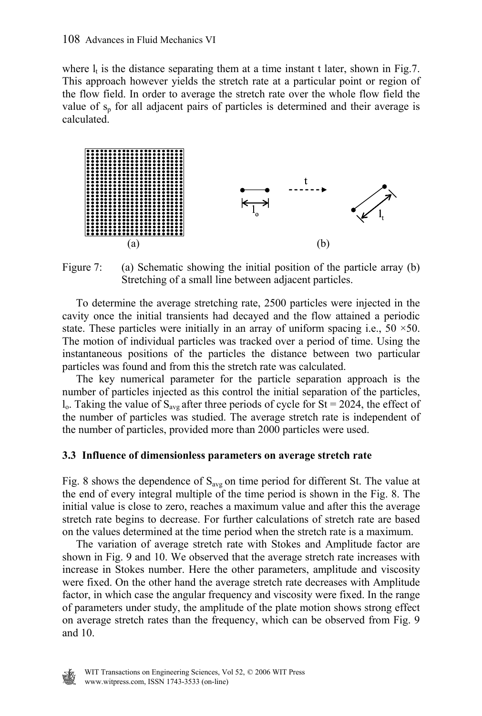where  $l_t$  is the distance separating them at a time instant t later, shown in Fig.7. This approach however yields the stretch rate at a particular point or region of the flow field. In order to average the stretch rate over the whole flow field the value of  $s_p$  for all adjacent pairs of particles is determined and their average is calculated.



Figure 7: (a) Schematic showing the initial position of the particle array (b) Stretching of a small line between adjacent particles.

 To determine the average stretching rate, 2500 particles were injected in the cavity once the initial transients had decayed and the flow attained a periodic state. These particles were initially in an array of uniform spacing i.e.,  $50 \times 50$ . The motion of individual particles was tracked over a period of time. Using the instantaneous positions of the particles the distance between two particular particles was found and from this the stretch rate was calculated.

 The key numerical parameter for the particle separation approach is the number of particles injected as this control the initial separation of the particles,  $l_0$ . Taking the value of  $S_{\text{avg}}$  after three periods of cycle for St = 2024, the effect of the number of particles was studied. The average stretch rate is independent of the number of particles, provided more than 2000 particles were used.

#### **3.3 Influence of dimensionless parameters on average stretch rate**

Fig. 8 shows the dependence of  $S_{avg}$  on time period for different St. The value at the end of every integral multiple of the time period is shown in the Fig. 8. The initial value is close to zero, reaches a maximum value and after this the average stretch rate begins to decrease. For further calculations of stretch rate are based on the values determined at the time period when the stretch rate is a maximum.

 The variation of average stretch rate with Stokes and Amplitude factor are shown in Fig. 9 and 10. We observed that the average stretch rate increases with increase in Stokes number. Here the other parameters, amplitude and viscosity were fixed. On the other hand the average stretch rate decreases with Amplitude factor, in which case the angular frequency and viscosity were fixed. In the range of parameters under study, the amplitude of the plate motion shows strong effect on average stretch rates than the frequency, which can be observed from Fig. 9 and 10.

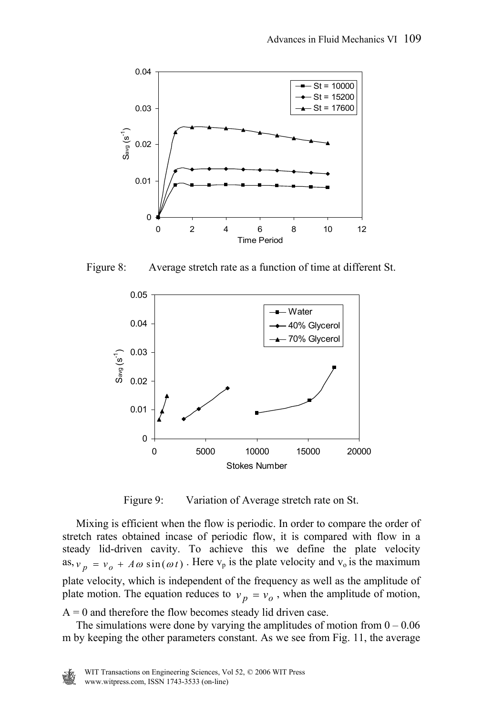

Figure 8: Average stretch rate as a function of time at different St.



Figure 9: Variation of Average stretch rate on St.

 Mixing is efficient when the flow is periodic. In order to compare the order of stretch rates obtained incase of periodic flow, it is compared with flow in a steady lid-driven cavity. To achieve this we define the plate velocity as,  $v_p = v_o + A \omega \sin(\omega t)$ . Here  $v_p$  is the plate velocity and  $v_o$  is the maximum plate velocity, which is independent of the frequency as well as the amplitude of plate motion. The equation reduces to  $v_p = v_o$ , when the amplitude of motion,

 $A = 0$  and therefore the flow becomes steady lid driven case.

The simulations were done by varying the amplitudes of motion from  $0 - 0.06$ m by keeping the other parameters constant. As we see from Fig. 11, the average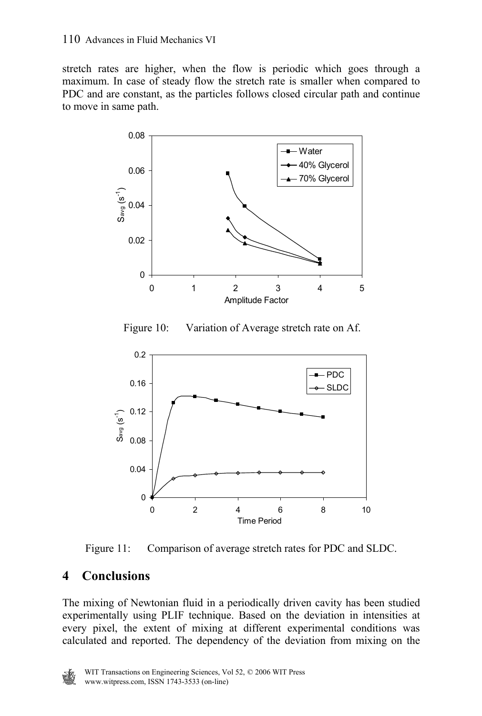stretch rates are higher, when the flow is periodic which goes through a maximum. In case of steady flow the stretch rate is smaller when compared to PDC and are constant, as the particles follows closed circular path and continue to move in same path.



Figure 10: Variation of Average stretch rate on Af.



Figure 11: Comparison of average stretch rates for PDC and SLDC.

# **4 Conclusions**

W

The mixing of Newtonian fluid in a periodically driven cavity has been studied experimentally using PLIF technique. Based on the deviation in intensities at every pixel, the extent of mixing at different experimental conditions was calculated and reported. The dependency of the deviation from mixing on the